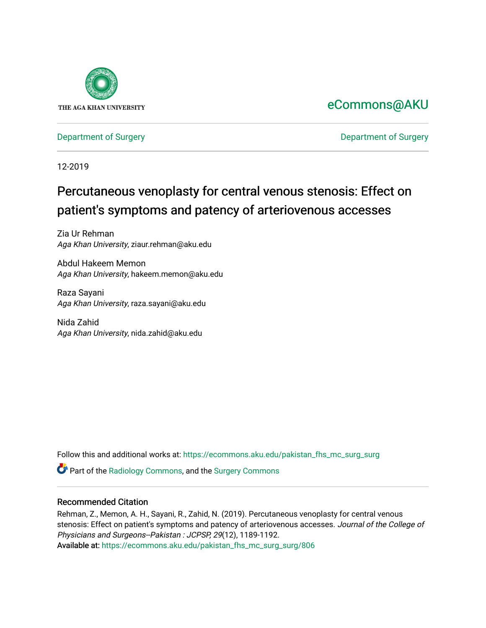

### [eCommons@AKU](https://ecommons.aku.edu/)

#### [Department of Surgery](https://ecommons.aku.edu/pakistan_fhs_mc_surg) **Department of Surgery**

12-2019

## Percutaneous venoplasty for central venous stenosis: Effect on patient's symptoms and patency of arteriovenous accesses

Zia Ur Rehman Aga Khan University, ziaur.rehman@aku.edu

Abdul Hakeem Memon Aga Khan University, hakeem.memon@aku.edu

Raza Sayani Aga Khan University, raza.sayani@aku.edu

Nida Zahid Aga Khan University, nida.zahid@aku.edu

Follow this and additional works at: [https://ecommons.aku.edu/pakistan\\_fhs\\_mc\\_surg\\_surg](https://ecommons.aku.edu/pakistan_fhs_mc_surg_surg?utm_source=ecommons.aku.edu%2Fpakistan_fhs_mc_surg_surg%2F806&utm_medium=PDF&utm_campaign=PDFCoverPages) 

Part of the [Radiology Commons,](http://network.bepress.com/hgg/discipline/705?utm_source=ecommons.aku.edu%2Fpakistan_fhs_mc_surg_surg%2F806&utm_medium=PDF&utm_campaign=PDFCoverPages) and the [Surgery Commons](http://network.bepress.com/hgg/discipline/706?utm_source=ecommons.aku.edu%2Fpakistan_fhs_mc_surg_surg%2F806&utm_medium=PDF&utm_campaign=PDFCoverPages)

#### Recommended Citation

Rehman, Z., Memon, A. H., Sayani, R., Zahid, N. (2019). Percutaneous venoplasty for central venous stenosis: Effect on patient's symptoms and patency of arteriovenous accesses. Journal of the College of Physicians and Surgeons--Pakistan : JCPSP, 29(12), 1189-1192. Available at: [https://ecommons.aku.edu/pakistan\\_fhs\\_mc\\_surg\\_surg/806](https://ecommons.aku.edu/pakistan_fhs_mc_surg_surg/806)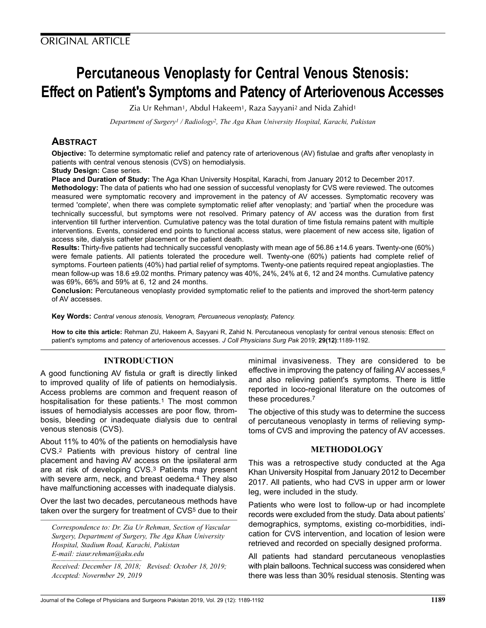# Percutaneous Venoplasty for Central Venous Stenosis: Effect on Patient's Symptoms and Patency of Arteriovenous Accesses

Zia Ur Rehman<sup>1</sup>, Abdul Hakeem<sup>1</sup>, Raza Sayyani<sup>2</sup> and Nida Zahid<sup>1</sup>

Department of Surgery<sup>1</sup> / Radiology<sup>2</sup>, The Aga Khan University Hospital, Karachi, Pakistan

#### **ABSTRACT**

Objective: To determine symptomatic relief and patency rate of arteriovenous (AV) fistulae and grafts after venoplasty in patients with central venous stenosis (CVS) on hemodialysis.

#### Study Design: Case series.

Place and Duration of Study: The Aga Khan University Hospital, Karachi, from January 2012 to December 2017.

Methodology: The data of patients who had one session of successful venoplasty for CVS were reviewed. The outcomes measured were symptomatic recovery and improvement in the patency of AV accesses. Symptomatic recovery was termed 'complete', when there was complete symptomatic relief after venoplasty; and 'partial' when the procedure was technically successful, but symptoms were not resolved. Primary patency of AV access was the duration from first intervention till further intervention. Cumulative patency was the total duration of time fistula remains patent with multiple interventions. Events, considered end points to functional access status, were placement of new access site, ligation of access site, dialysis catheter placement or the patient death.

Results: Thirty-five patients had technically successful venoplasty with mean age of 56.86 ±14.6 years. Twenty-one (60%) were female patients. All patients tolerated the procedure well. Twenty-one (60%) patients had complete relief of symptoms. Fourteen patients (40%) had partial relief of symptoms. Twenty-one patients required repeat angioplasties. The mean follow-up was 18.6 ±9.02 months. Primary patency was 40%, 24%, 24% at 6, 12 and 24 months. Cumulative patency was 69%, 66% and 59% at 6, 12 and 24 months.

Conclusion: Percutaneous venoplasty provided symptomatic relief to the patients and improved the short-term patency of AV accesses.

Key Words: Central venous stenosis, Venogram, Percuaneous venoplasty, Patency.

How to cite this article: Rehman ZU, Hakeem A, Sayyani R, Zahid N. Percutaneous venoplasty for central venous stenosis: Effect on patient's symptoms and patency of arteriovenous accesses. J Coll Physicians Surg Pak 2019; 29(12):1189-1192.

#### INTRODUCTION

A good functioning AV fistula or graft is directly linked to improved quality of life of patients on hemodialysis. Access problems are common and frequent reason of hospitalisation for these patients.<sup>1</sup> The most common issues of hemodialysis accesses are poor flow, thrombosis, bleeding or inadequate dialysis due to central venous stenosis (CVS).

About 11% to 40% of the patients on hemodialysis have CVS.<sup>2</sup> Patients with previous history of central line placement and having AV access on the ipsilateral arm are at risk of developing CVS.<sup>3</sup> Patients may present with severe arm, neck, and breast oedema.<sup>4</sup> They also have malfunctioning accesses with inadequate dialysis.

Over the last two decades, percutaneous methods have taken over the surgery for treatment of CVS<sup>5</sup> due to their

Correspondence to: Dr. Zia Ur Rehman, Section of Vascular Surgery, Department of Surgery, The Aga Khan University Hospital, Stadium Road, Karachi, Pakistan E-mail: ziaur.rehman@aku.edu

Received: December 18, 2018; Revised: October 18, 2019; Accepted: Novermber 29, 2019

minimal invasiveness. They are considered to be effective in improving the patency of failing AV accesses,<sup>6</sup> and also relieving patient's symptoms. There is little reported in loco-regional literature on the outcomes of these procedures.<sup>7</sup>

The objective of this study was to determine the success of percutaneous venoplasty in terms of relieving symptoms of CVS and improving the patency of AV accesses.

#### METHODOLOGY

This was a retrospective study conducted at the Aga Khan University Hospital from January 2012 to December 2017. All patients, who had CVS in upper arm or lower leg, were included in the study.

Patients who were lost to follow-up or had incomplete records were excluded from the study. Data about patients' demographics, symptoms, existing co-morbidities, indication for CVS intervention, and location of lesion were retrieved and recorded on specially designed proforma.

All patients had standard percutaneous venoplasties with plain balloons. Technical success was considered when there was less than 30% residual stenosis. Stenting was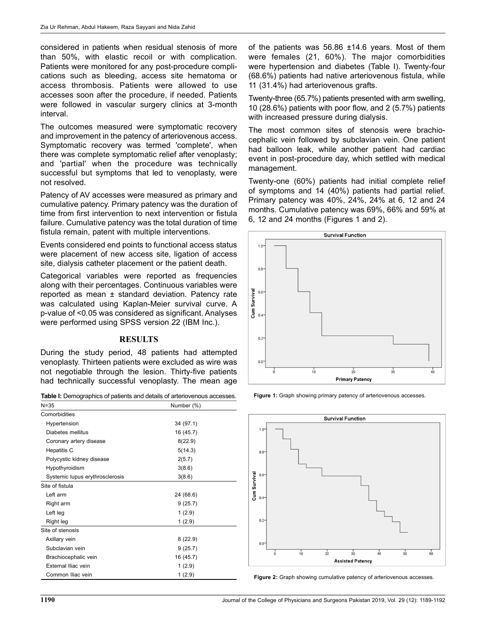considered in patients when residual stenosis of more than 50%, with elastic recoil or with complication. Patients were monitored for any post-procedure complications such as bleeding, access site hematoma or access thrombosis. Patients were allowed to use accesses soon after the procedure, if needed. Patients were followed in vascular surgery clinics at 3-month interval.

The outcomes measured were symptomatic recovery and improvement in the patency of arteriovenous access. Symptomatic recovery was termed 'complete', when there was complete symptomatic relief after venoplasty; and 'partial' when the procedure was technically successful but symptoms that led to venoplasty, were not resolved.

Patency of AV accesses were measured as primary and cumulative patency. Primary patency was the duration of time from first intervention to next intervention or fistula failure. Cumulative patency was the total duration of time fistula remain, patent with multiple interventions.

Events considered end points to functional access status were placement of new access site, ligation of access site, dialysis catheter placement or the patient death.

Categorical variables were reported as frequencies along with their percentages. Continuous variables were reported as mean ± standard deviation. Patency rate was calculated using Kaplan-Meier survival curve. A p-value of <0.05 was considered as significant. Analyses were performed using SPSS version 22 (IBM Inc.).

#### **RESULTS**

During the study period, 48 patients had attempted venoplasty. Thirteen patients were excluded as wire was not negotiable through the lesion. Thirty-five patients had technically successful venoplasty. The mean age

Table I: Demographics of patients and details of arteriovenous accesses.

| $N = 35$                        | Number (%) |  |
|---------------------------------|------------|--|
| Comorbidities                   |            |  |
| Hypertension                    | 34 (97.1)  |  |
| Diabetes mellitus               | 16 (45.7)  |  |
| Coronary artery disease         | 8(22.9)    |  |
| Hepatitis C                     | 5(14.3)    |  |
| Polycystic kidney disease       | 2(5.7)     |  |
| Hypothyroidism                  | 3(8.6)     |  |
| Systemic lupus erythrosclerosis | 3(8.6)     |  |
| Site of fistula                 |            |  |
| Left arm                        | 24 (68.6)  |  |
| Right arm                       | 9(25.7)    |  |
| Left leg                        | 1(2.9)     |  |
| Right leg                       | 1(2.9)     |  |
| Site of stenosis                |            |  |
| Axillary vein                   | 8(22.9)    |  |
| Subclavian vein                 | 9(25.7)    |  |
| Brachiocephalic vein            | 16 (45.7)  |  |
| External Iliac vein             | 1(2.9)     |  |
| Common Iliac vein               | 1(2.9)     |  |

of the patients was 56.86 ±14.6 years. Most of them were females (21, 60%). The major comorbidities were hypertension and diabetes (Table I). Twenty-four (68.6%) patients had native arteriovenous fistula, while 11 (31.4%) had arteriovenous grafts.

Twenty-three (65.7%) patients presented with arm swelling, 10 (28.6%) patients with poor flow, and 2 (5.7%) patients with increased pressure during dialysis.

The most common sites of stenosis were brachiocephalic vein followed by subclavian vein. One patient had balloon leak, while another patient had cardiac event in post-procedure day, which settled with medical management.

Twenty-one (60%) patients had initial complete relief of symptoms and 14 (40%) patients had partial relief. Primary patency was 40%, 24%, 24% at 6, 12 and 24 months. Cumulative patency was 69%, 66% and 59% at 6, 12 and 24 months (Figures 1 and 2).







Figure 2: Graph showing cumulative patency of arteriovenous accesses.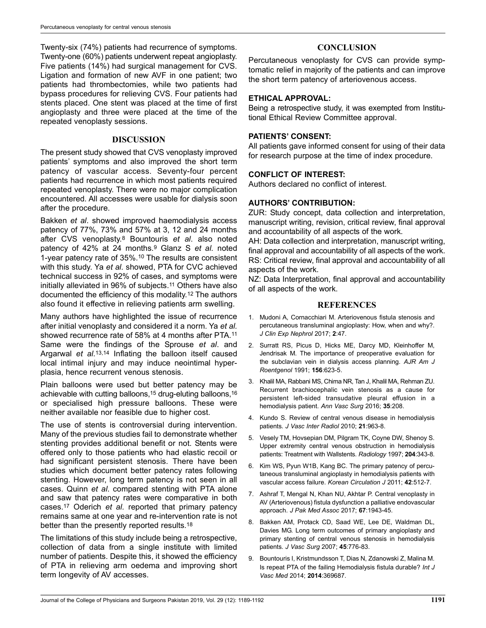Twenty-six (74%) patients had recurrence of symptoms. Twenty-one (60%) patients underwent repeat angioplasty. Five patients (14%) had surgical management for CVS. Ligation and formation of new AVF in one patient; two patients had thrombectomies, while two patients had bypass procedures for relieving CVS. Four patients had stents placed. One stent was placed at the time of first angioplasty and three were placed at the time of the repeated venoplasty sessions.

#### DISCUSSION

The present study showed that CVS venoplasty improved patients' symptoms and also improved the short term patency of vascular access. Seventy-four percent patients had recurrence in which most patients required repeated venoplasty. There were no major complication encountered. All accesses were usable for dialysis soon after the procedure.

Bakken et al. showed improved haemodialysis access patency of 77%, 73% and 57% at 3, 12 and 24 months after CVS venoplasty.<sup>8</sup> Bountouris et al. also noted patency of 42% at 24 months.<sup>9</sup> Glanz S et al. noted 1-year patency rate of 35%.<sup>10</sup> The results are consistent with this study. Ya et al. showed, PTA for CVC achieved technical success in 92% of cases, and symptoms were initially alleviated in 96% of subjects.<sup>11</sup> Others have also documented the efficiency of this modality.<sup>12</sup> The authors also found it effective in relieving patients arm swelling.

Many authors have highlighted the issue of recurrence after initial venoplasty and considered it a norm. Ya et al. showed recurrence rate of 58% at 4 months after PTA.<sup>11</sup> Same were the findings of the Sprouse et al. and Argarwal et al.<sup>13,14</sup> Inflating the balloon itself caused local intimal injury and may induce neointimal hyperplasia, hence recurrent venous stenosis.

Plain balloons were used but better patency may be achievable with cutting balloons,<sup>15</sup> drug-eluting balloons,<sup>16</sup> or specialised high pressure balloons. These were neither available nor feasible due to higher cost.

The use of stents is controversial during intervention. Many of the previous studies fail to demonstrate whether stenting provides additional benefit or not. Stents were offered only to those patients who had elastic recoil or had significant persistent stenosis. There have been studies which document better patency rates following stenting. However, long term patency is not seen in all cases. Quinn et al. compared stenting with PTA alone and saw that patency rates were comparative in both cases.<sup>17</sup> Oderich et al. reported that primary patency remains same at one year and re-intervention rate is not better than the presently reported results.<sup>18</sup>

The limitations of this study include being a retrospective, collection of data from a single institute with limited number of patients. Despite this, it showed the efficiency of PTA in relieving arm oedema and improving short term longevity of AV accesses.

#### **CONCLUSION**

Percutaneous venoplasty for CVS can provide symptomatic relief in majority of the patients and can improve the short term patency of arteriovenous access.

#### ETHICAL APPROVAL:

Being a retrospective study, it was exempted from Institutional Ethical Review Committee approval.

#### PATIENTS' CONSENT:

All patients gave informed consent for using of their data for research purpose at the time of index procedure.

#### CONFLICT OF INTEREST:

Authors declared no conflict of interest.

#### AUTHORS' CONTRIBUTION:

ZUR: Study concept, data collection and interpretation, manuscript writing, revision, critical review, final approval and accountability of all aspects of the work.

AH: Data collection and interpretation, manuscript writing, final approval and accountability of all aspects of the work. RS: Critical review, final approval and accountability of all aspects of the work.

NZ: Data Interpretation, final approval and accountability of all aspects of the work.

#### **REFERENCES**

- 1. Mudoni A, Cornacchiari M. Arteriovenous fistula stenosis and percutaneous transluminal angioplasty: How, when and why?. J Clin Exp Nephrol 2017; 2:47.
- 2. Surratt RS, Picus D, Hicks ME, Darcy MD, Kleinhoffer M, Jendrisak M. The importance of preoperative evaluation for the subclavian vein in dialysis access planning. AJR Am J Roentgenol 1991; 156:623-5.
- 3. Khalil MA, Rabbani MS, Chima NR, Tan J, Khalil MA, Rehman ZU. Recurrent brachiocephalic vein stenosis as a cause for persistent left-sided transudative pleural effusion in a hemodialysis patient. Ann Vasc Surg 2016; 35:208.
- 4. Kundo S. Review of central venous disease in hemodialysis patients. J Vasc Inter Radiol 2010; 21:963-8.
- 5. Vesely TM, Hovsepian DM, Pilgram TK, Coyne DW, Shenoy S. Upper extremity central venous obstruction in hemodialysis patients: Treatment with Wallstents. Radiology 1997; 204:343-8.
- 6. Kim WS, Pyun W1B, Kang BC. The primary patency of percutaneous transluminal angioplasty in hemodialysis patients with vascular access failure. Korean Circulation J 2011; 42:512-7.
- 7. Ashraf T, Mengal N, Khan NU, Akhtar P. Central venoplasty in AV (Arteriovenous) fistula dysfunction a palliative endovascular approach. J Pak Med Assoc 2017; 67:1943-45.
- 8. Bakken AM, Protack CD, Saad WE, Lee DE, Waldman DL, Davies MG. Long term outcomes of primary angioplasty and primary stenting of central venous stenosis in hemodialysis patients. J Vasc Surg 2007; 45:776-83.
- 9. Bountouris I, Kristmundsson T, Dias N, Zdanowski Z, Malina M. Is repeat PTA of the failing Hemodialysis fistula durable? Int J Vasc Med 2014; 2014:369687.